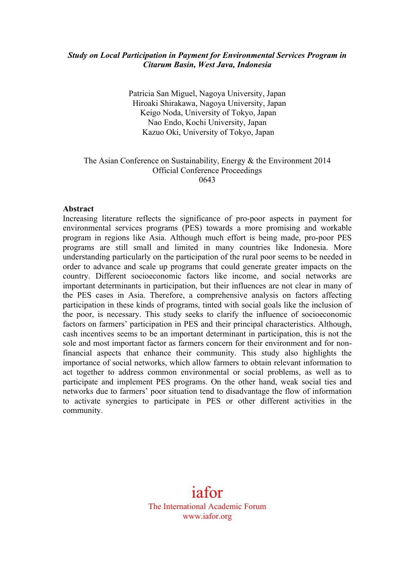## *Study on Local Participation in Payment for Environmental Services Program in Citarum Basin, West Java, Indonesia*

Patricia San Miguel, Nagoya University, Japan Hiroaki Shirakawa, Nagoya University, Japan Keigo Noda, University of Tokyo, Japan Nao Endo, Kochi University, Japan Kazuo Oki, University of Tokyo, Japan

#### The Asian Conference on Sustainability, Energy & the Environment 2014 Official Conference Proceedings 0643

#### **Abstract**

Increasing literature reflects the significance of pro-poor aspects in payment for environmental services programs (PES) towards a more promising and workable program in regions like Asia. Although much effort is being made, pro-poor PES programs are still small and limited in many countries like Indonesia. More understanding particularly on the participation of the rural poor seems to be needed in order to advance and scale up programs that could generate greater impacts on the country. Different socioeconomic factors like income, and social networks are important determinants in participation, but their influences are not clear in many of the PES cases in Asia. Therefore, a comprehensive analysis on factors affecting participation in these kinds of programs, tinted with social goals like the inclusion of the poor, is necessary. This study seeks to clarify the influence of socioeconomic factors on farmers' participation in PES and their principal characteristics. Although, cash incentives seems to be an important determinant in participation, this is not the sole and most important factor as farmers concern for their environment and for nonfinancial aspects that enhance their community. This study also highlights the importance of social networks, which allow farmers to obtain relevant information to act together to address common environmental or social problems, as well as to participate and implement PES programs. On the other hand, weak social ties and networks due to farmers' poor situation tend to disadvantage the flow of information to activate synergies to participate in PES or other different activities in the community.

# iafor The International Academic Forum www.iafor.org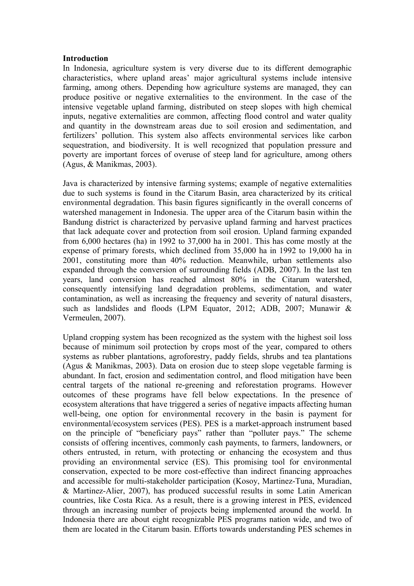## **Introduction**

In Indonesia, agriculture system is very diverse due to its different demographic characteristics, where upland areas' major agricultural systems include intensive farming, among others. Depending how agriculture systems are managed, they can produce positive or negative externalities to the environment. In the case of the intensive vegetable upland farming, distributed on steep slopes with high chemical inputs, negative externalities are common, affecting flood control and water quality and quantity in the downstream areas due to soil erosion and sedimentation, and fertilizers' pollution. This system also affects environmental services like carbon sequestration, and biodiversity. It is well recognized that population pressure and poverty are important forces of overuse of steep land for agriculture, among others (Agus, & Manikmas, 2003).

Java is characterized by intensive farming systems; example of negative externalities due to such systems is found in the Citarum Basin, area characterized by its critical environmental degradation. This basin figures significantly in the overall concerns of watershed management in Indonesia. The upper area of the Citarum basin within the Bandung district is characterized by pervasive upland farming and harvest practices that lack adequate cover and protection from soil erosion. Upland farming expanded from 6,000 hectares (ha) in 1992 to 37,000 ha in 2001. This has come mostly at the expense of primary forests, which declined from 35,000 ha in 1992 to 19,000 ha in 2001, constituting more than 40% reduction. Meanwhile, urban settlements also expanded through the conversion of surrounding fields (ADB, 2007). In the last ten years, land conversion has reached almost 80% in the Citarum watershed, consequently intensifying land degradation problems, sedimentation, and water contamination, as well as increasing the frequency and severity of natural disasters, such as landslides and floods (LPM Equator, 2012; ADB, 2007; Munawir & Vermeulen, 2007).

Upland cropping system has been recognized as the system with the highest soil loss because of minimum soil protection by crops most of the year, compared to others systems as rubber plantations, agroforestry, paddy fields, shrubs and tea plantations (Agus & Manikmas, 2003). Data on erosion due to steep slope vegetable farming is abundant. In fact, erosion and sedimentation control, and flood mitigation have been central targets of the national re-greening and reforestation programs. However outcomes of these programs have fell below expectations. In the presence of ecosystem alterations that have triggered a series of negative impacts affecting human well-being, one option for environmental recovery in the basin is payment for environmental/ecosystem services (PES). PES is a market-approach instrument based on the principle of "beneficiary pays" rather than "polluter pays." The scheme consists of offering incentives, commonly cash payments, to farmers, landowners, or others entrusted, in return, with protecting or enhancing the ecosystem and thus providing an environmental service (ES). This promising tool for environmental conservation, expected to be more cost-effective than indirect financing approaches and accessible for multi-stakeholder participation (Kosoy, Martinez-Tuna, Muradian, & Martinez-Alier, 2007), has produced successful results in some Latin American countries, like Costa Rica. As a result, there is a growing interest in PES, evidenced through an increasing number of projects being implemented around the world. In Indonesia there are about eight recognizable PES programs nation wide, and two of them are located in the Citarum basin. Efforts towards understanding PES schemes in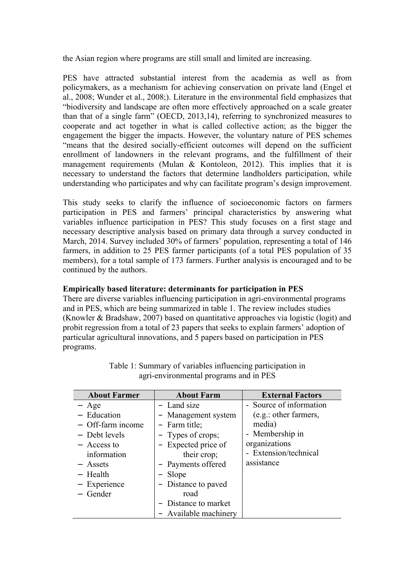the Asian region where programs are still small and limited are increasing.

PES have attracted substantial interest from the academia as well as from policymakers, as a mechanism for achieving conservation on private land (Engel et al., 2008; Wunder et al., 2008;). Literature in the environmental field emphasizes that "biodiversity and landscape are often more effectively approached on a scale greater than that of a single farm" (OECD, 2013,14), referring to synchronized measures to cooperate and act together in what is called collective action; as the bigger the engagement the bigger the impacts. However, the voluntary nature of PES schemes "means that the desired socially-efficient outcomes will depend on the sufficient enrollment of landowners in the relevant programs, and the fulfillment of their management requirements (Mulan & Kontoleon, 2012). This implies that it is necessary to understand the factors that determine landholders participation, while understanding who participates and why can facilitate program's design improvement.

This study seeks to clarify the influence of socioeconomic factors on farmers participation in PES and farmers' principal characteristics by answering what variables influence participation in PES? This study focuses on a first stage and necessary descriptive analysis based on primary data through a survey conducted in March, 2014. Survey included 30% of farmers' population, representing a total of 146 farmers, in addition to 25 PES farmer participants (of a total PES population of 35 members), for a total sample of 173 farmers. Further analysis is encouraged and to be continued by the authors.

## **Empirically based literature: determinants for participation in PES**

There are diverse variables influencing participation in agri-environmental programs and in PES, which are being summarized in table 1. The review includes studies (Knowler & Bradshaw, 2007) based on quantitative approaches via logistic (logit) and probit regression from a total of 23 papers that seeks to explain farmers' adoption of particular agricultural innovations, and 5 papers based on participation in PES programs.

| <b>About Farmer</b> | <b>About Farm</b>     | <b>External Factors</b> |
|---------------------|-----------------------|-------------------------|
| $-$ Age             | - Land size           | - Source of information |
| - Education         | - Management system   | (e.g.: other farmers,   |
| $-$ Off-farm income | - Farm title;         | media)                  |
| - Debt levels       | - Types of crops;     | - Membership in         |
| - Access to         | - Expected price of   | organizations           |
| information         | their crop;           | - Extension/technical   |
| - Assets            | - Payments offered    | assistance              |
| $-$ Health          | - Slope               |                         |
| - Experience        | - Distance to paved   |                         |
| - Gender            | road                  |                         |
|                     | - Distance to market  |                         |
|                     | - Available machinery |                         |

Table 1: Summary of variables influencing participation in agri-environmental programs and in PES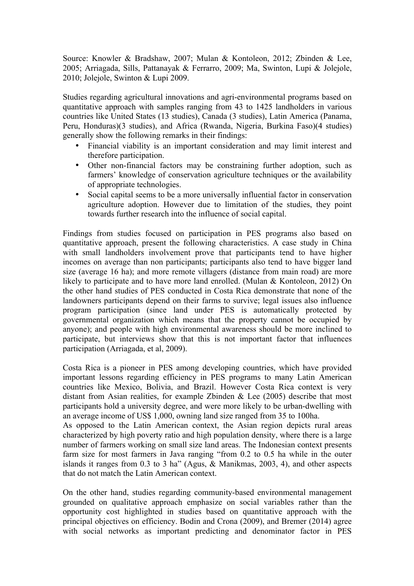Source: Knowler & Bradshaw, 2007; Mulan & Kontoleon, 2012; Zbinden & Lee, 2005; Arriagada, Sills, Pattanayak & Ferrarro, 2009; Ma, Swinton, Lupi & Jolejole, 2010; Jolejole, Swinton & Lupi 2009.

Studies regarding agricultural innovations and agri-environmental programs based on quantitative approach with samples ranging from 43 to 1425 landholders in various countries like United States (13 studies), Canada (3 studies), Latin America (Panama, Peru, Honduras)(3 studies), and Africa (Rwanda, Nigeria, Burkina Faso)(4 studies) generally show the following remarks in their findings:

- Financial viability is an important consideration and may limit interest and therefore participation.
- Other non-financial factors may be constraining further adoption, such as farmers' knowledge of conservation agriculture techniques or the availability of appropriate technologies.
- Social capital seems to be a more universally influential factor in conservation agriculture adoption. However due to limitation of the studies, they point towards further research into the influence of social capital.

Findings from studies focused on participation in PES programs also based on quantitative approach, present the following characteristics. A case study in China with small landholders involvement prove that participants tend to have higher incomes on average than non participants; participants also tend to have bigger land size (average 16 ha); and more remote villagers (distance from main road) are more likely to participate and to have more land enrolled. (Mulan & Kontoleon, 2012) On the other hand studies of PES conducted in Costa Rica demonstrate that none of the landowners participants depend on their farms to survive; legal issues also influence program participation (since land under PES is automatically protected by governmental organization which means that the property cannot be occupied by anyone); and people with high environmental awareness should be more inclined to participate, but interviews show that this is not important factor that influences participation (Arriagada, et al, 2009).

Costa Rica is a pioneer in PES among developing countries, which have provided important lessons regarding efficiency in PES programs to many Latin American countries like Mexico, Bolivia, and Brazil. However Costa Rica context is very distant from Asian realities, for example Zbinden & Lee (2005) describe that most participants hold a university degree, and were more likely to be urban-dwelling with an average income of US\$ 1,000, owning land size ranged from 35 to 100ha.

As opposed to the Latin American context, the Asian region depicts rural areas characterized by high poverty ratio and high population density, where there is a large number of farmers working on small size land areas. The Indonesian context presents farm size for most farmers in Java ranging "from 0.2 to 0.5 ha while in the outer islands it ranges from 0.3 to 3 ha" (Agus, & Manikmas, 2003, 4), and other aspects that do not match the Latin American context.

On the other hand, studies regarding community-based environmental management grounded on qualitative approach emphasize on social variables rather than the opportunity cost highlighted in studies based on quantitative approach with the principal objectives on efficiency. Bodin and Crona (2009), and Bremer (2014) agree with social networks as important predicting and denominator factor in PES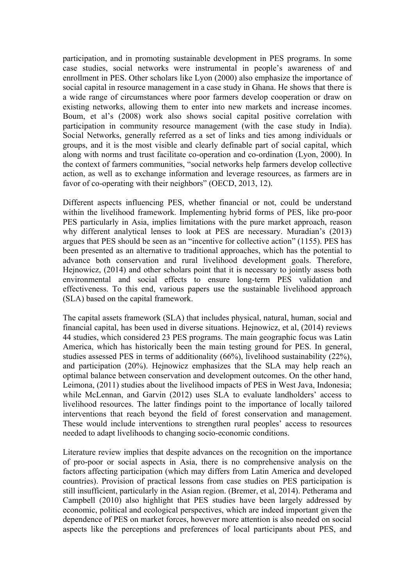participation, and in promoting sustainable development in PES programs. In some case studies, social networks were instrumental in people's awareness of and enrollment in PES. Other scholars like Lyon (2000) also emphasize the importance of social capital in resource management in a case study in Ghana. He shows that there is a wide range of circumstances where poor farmers develop cooperation or draw on existing networks, allowing them to enter into new markets and increase incomes. Boum, et al's (2008) work also shows social capital positive correlation with participation in community resource management (with the case study in India). Social Networks, generally referred as a set of links and ties among individuals or groups, and it is the most visible and clearly definable part of social capital, which along with norms and trust facilitate co-operation and co-ordination (Lyon, 2000). In the context of farmers communities, "social networks help farmers develop collective action, as well as to exchange information and leverage resources, as farmers are in favor of co-operating with their neighbors" (OECD, 2013, 12).

Different aspects influencing PES, whether financial or not, could be understand within the livelihood framework. Implementing hybrid forms of PES, like pro-poor PES particularly in Asia, implies limitations with the pure market approach, reason why different analytical lenses to look at PES are necessary. Muradian's (2013) argues that PES should be seen as an "incentive for collective action" (1155). PES has been presented as an alternative to traditional approaches, which has the potential to advance both conservation and rural livelihood development goals. Therefore, Hejnowicz, (2014) and other scholars point that it is necessary to jointly assess both environmental and social effects to ensure long-term PES validation and effectiveness. To this end, various papers use the sustainable livelihood approach (SLA) based on the capital framework.

The capital assets framework (SLA) that includes physical, natural, human, social and financial capital, has been used in diverse situations. Hejnowicz, et al, (2014) reviews 44 studies, which considered 23 PES programs. The main geographic focus was Latin America, which has historically been the main testing ground for PES. In general, studies assessed PES in terms of additionality (66%), livelihood sustainability (22%), and participation (20%). Hejnowicz emphasizes that the SLA may help reach an optimal balance between conservation and development outcomes. On the other hand, Leimona, (2011) studies about the livelihood impacts of PES in West Java, Indonesia; while McLennan, and Garvin (2012) uses SLA to evaluate landholders' access to livelihood resources. The latter findings point to the importance of locally tailored interventions that reach beyond the field of forest conservation and management. These would include interventions to strengthen rural peoples' access to resources needed to adapt livelihoods to changing socio-economic conditions.

Literature review implies that despite advances on the recognition on the importance of pro-poor or social aspects in Asia, there is no comprehensive analysis on the factors affecting participation (which may differs from Latin America and developed countries). Provision of practical lessons from case studies on PES participation is still insufficient, particularly in the Asian region. (Bremer, et al, 2014). Petherama and Campbell (2010) also highlight that PES studies have been largely addressed by economic, political and ecological perspectives, which are indeed important given the dependence of PES on market forces, however more attention is also needed on social aspects like the perceptions and preferences of local participants about PES, and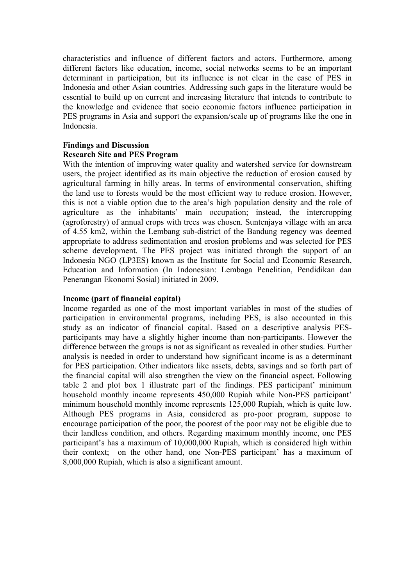characteristics and influence of different factors and actors. Furthermore, among different factors like education, income, social networks seems to be an important determinant in participation, but its influence is not clear in the case of PES in Indonesia and other Asian countries. Addressing such gaps in the literature would be essential to build up on current and increasing literature that intends to contribute to the knowledge and evidence that socio economic factors influence participation in PES programs in Asia and support the expansion/scale up of programs like the one in Indonesia.

# **Findings and Discussion**

## **Research Site and PES Program**

With the intention of improving water quality and watershed service for downstream users, the project identified as its main objective the reduction of erosion caused by agricultural farming in hilly areas. In terms of environmental conservation, shifting the land use to forests would be the most efficient way to reduce erosion. However, this is not a viable option due to the area's high population density and the role of agriculture as the inhabitants' main occupation; instead, the intercropping (agroforestry) of annual crops with trees was chosen. Suntenjaya village with an area of 4.55 km2, within the Lembang sub-district of the Bandung regency was deemed appropriate to address sedimentation and erosion problems and was selected for PES scheme development. The PES project was initiated through the support of an Indonesia NGO (LP3ES) known as the Institute for Social and Economic Research, Education and Information (In Indonesian: Lembaga Penelitian, Pendidikan dan Penerangan Ekonomi Sosial) initiated in 2009.

## **Income (part of financial capital)**

Income regarded as one of the most important variables in most of the studies of participation in environmental programs, including PES, is also accounted in this study as an indicator of financial capital. Based on a descriptive analysis PESparticipants may have a slightly higher income than non-participants. However the difference between the groups is not as significant as revealed in other studies. Further analysis is needed in order to understand how significant income is as a determinant for PES participation. Other indicators like assets, debts, savings and so forth part of the financial capital will also strengthen the view on the financial aspect. Following table 2 and plot box 1 illustrate part of the findings. PES participant' minimum household monthly income represents 450,000 Rupiah while Non-PES participant' minimum household monthly income represents 125,000 Rupiah, which is quite low. Although PES programs in Asia, considered as pro-poor program, suppose to encourage participation of the poor, the poorest of the poor may not be eligible due to their landless condition, and others. Regarding maximum monthly income, one PES participant's has a maximum of 10,000,000 Rupiah, which is considered high within their context; on the other hand, one Non-PES participant' has a maximum of 8,000,000 Rupiah, which is also a significant amount.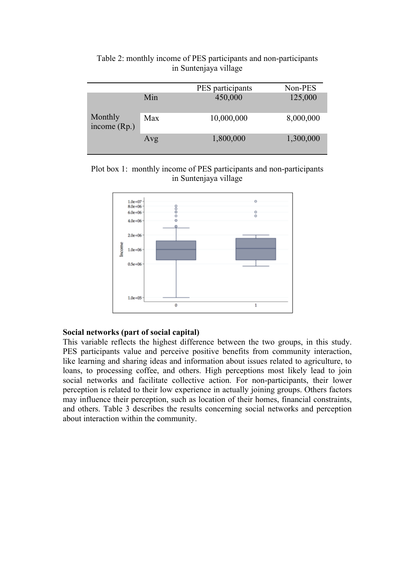|                           |     | PES participants | Non-PES   |
|---------------------------|-----|------------------|-----------|
| Monthly<br>income $(Rp.)$ | Min | 450,000          | 125,000   |
|                           | Max | 10,000,000       | 8,000,000 |
|                           | Avg | 1,800,000        | 1,300,000 |

Table 2: monthly income of PES participants and non-participants in Suntenjaya village

Plot box 1: monthly income of PES participants and non-participants in Suntenjaya village



## **Social networks (part of social capital)**

This variable reflects the highest difference between the two groups, in this study. PES participants value and perceive positive benefits from community interaction, like learning and sharing ideas and information about issues related to agriculture, to loans, to processing coffee, and others. High perceptions most likely lead to join social networks and facilitate collective action. For non-participants, their lower perception is related to their low experience in actually joining groups. Others factors may influence their perception, such as location of their homes, financial constraints, and others. Table 3 describes the results concerning social networks and perception about interaction within the community.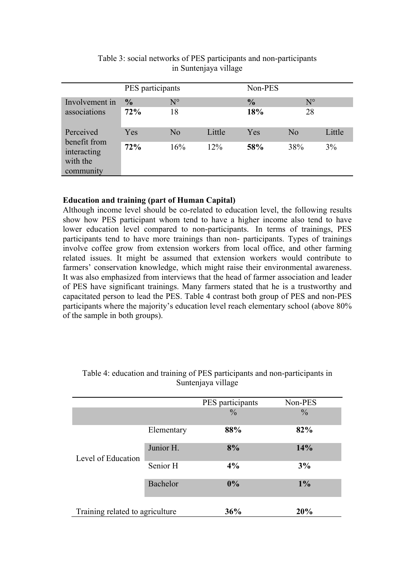|                                                                   | PES participants     |                   |        | Non-PES              |                   |        |
|-------------------------------------------------------------------|----------------------|-------------------|--------|----------------------|-------------------|--------|
| Involvement in<br>associations                                    | $\frac{0}{0}$<br>72% | $N^{\circ}$<br>18 |        | $\frac{0}{0}$<br>18% | $N^{\circ}$<br>28 |        |
| Perceived<br>benefit from<br>interacting<br>with the<br>community | Yes                  | No                | Little | Yes                  | N <sub>o</sub>    | Little |
|                                                                   | 72%                  | 16%               | 12%    | 58%                  | 38%               | 3%     |

# Table 3: social networks of PES participants and non-participants in Suntenjaya village

## **Education and training (part of Human Capital)**

Although income level should be co-related to education level, the following results show how PES participant whom tend to have a higher income also tend to have lower education level compared to non-participants. In terms of trainings, PES participants tend to have more trainings than non- participants. Types of trainings involve coffee grow from extension workers from local office, and other farming related issues. It might be assumed that extension workers would contribute to farmers' conservation knowledge, which might raise their environmental awareness. It was also emphasized from interviews that the head of farmer association and leader of PES have significant trainings. Many farmers stated that he is a trustworthy and capacitated person to lead the PES. Table 4 contrast both group of PES and non-PES participants where the majority's education level reach elementary school (above 80% of the sample in both groups).

|                                 |            | PES participants | Non-PES       |
|---------------------------------|------------|------------------|---------------|
|                                 |            | $\frac{0}{0}$    | $\frac{0}{0}$ |
| Level of Education              | Elementary | 88%              | 82%           |
|                                 | Junior H.  | 8%               | 14%           |
|                                 | Senior H   | 4%               | 3%            |
|                                 | Bachelor   | 0%               | $1\%$         |
| Training related to agriculture |            | 36%              | 20%           |

## Table 4: education and training of PES participants and non-participants in Suntenjaya village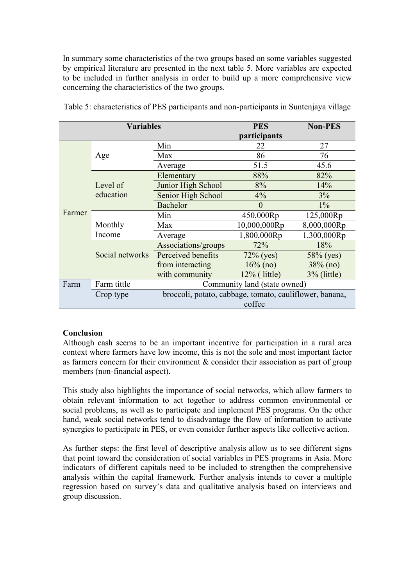In summary some characteristics of the two groups based on some variables suggested by empirical literature are presented in the next table 5. More variables are expected to be included in further analysis in order to build up a more comprehensive view concerning the characteristics of the two groups.

| <b>Variables</b> |                 | <b>PES</b>                                              | <b>Non-PES</b>  |                |  |
|------------------|-----------------|---------------------------------------------------------|-----------------|----------------|--|
|                  |                 |                                                         | participants    |                |  |
|                  |                 | Min                                                     | 22              | 27             |  |
|                  | Age             | Max                                                     | 86              | 76             |  |
|                  |                 | Average                                                 | 51.5            | 45.6           |  |
|                  |                 | Elementary                                              | 88%             | 82%            |  |
|                  | Level of        | Junior High School                                      | 8%              | 14%            |  |
|                  | education       | Senior High School                                      | 4%              | 3%             |  |
|                  |                 | Bachelor                                                | $\left($        | $1\%$          |  |
| Farmer           |                 | Min                                                     | 450,000Rp       | 125,000Rp      |  |
|                  | Monthly         | Max                                                     | 10,000,000Rp    | 8,000,000Rp    |  |
|                  | Income          | Average                                                 | 1,800,000Rp     | 1,300,000Rp    |  |
|                  |                 | Associations/groups                                     | 72%             | 18%            |  |
|                  | Social networks | Perceived benefits                                      | $72\%$ (yes)    | 58% (yes)      |  |
|                  |                 | from interacting                                        | $16\%$ (no)     | $38\%$ (no)    |  |
|                  |                 | with community                                          | $12\%$ (little) | $3\%$ (little) |  |
| Farm             | Farm tittle     | Community land (state owned)                            |                 |                |  |
|                  | Crop type       | broccoli, potato, cabbage, tomato, cauliflower, banana, |                 |                |  |
|                  |                 | coffee                                                  |                 |                |  |

Table 5: characteristics of PES participants and non-participants in Suntenjaya village

## **Conclusion**

Although cash seems to be an important incentive for participation in a rural area context where farmers have low income, this is not the sole and most important factor as farmers concern for their environment  $\&$  consider their association as part of group members (non-financial aspect).

This study also highlights the importance of social networks, which allow farmers to obtain relevant information to act together to address common environmental or social problems, as well as to participate and implement PES programs. On the other hand, weak social networks tend to disadvantage the flow of information to activate synergies to participate in PES, or even consider further aspects like collective action.

As further steps: the first level of descriptive analysis allow us to see different signs that point toward the consideration of social variables in PES programs in Asia. More indicators of different capitals need to be included to strengthen the comprehensive analysis within the capital framework. Further analysis intends to cover a multiple regression based on survey's data and qualitative analysis based on interviews and group discussion.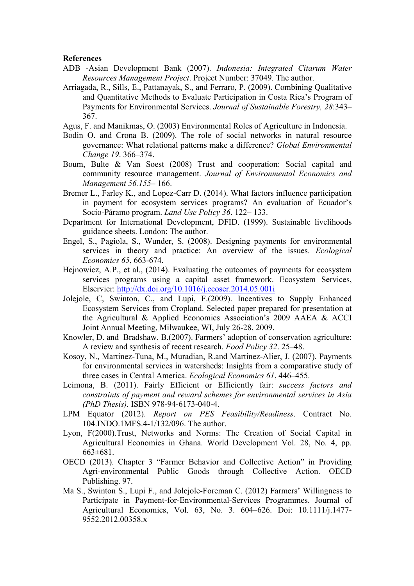#### **References**

- ADB -Asian Development Bank (2007). *Indonesia: Integrated Citarum Water Resources Management Project*. Project Number: 37049. The author.
- Arriagada, R., Sills, E., Pattanayak, S., and Ferraro, P. (2009). Combining Qualitative and Quantitative Methods to Evaluate Participation in Costa Rica's Program of Payments for Environmental Services. *Journal of Sustainable Forestry, 28*:343– 367.
- Agus, F. and Manikmas, O. (2003) Environmental Roles of Agriculture in Indonesia.
- Bodin O. and Crona B. (2009). The role of social networks in natural resource governance: What relational patterns make a difference? *Global Environmental Change 19*. 366–374.
- Boum, Bulte & Van Soest (2008) Trust and cooperation: Social capital and community resource management. *Journal of Environmental Economics and Management 56.155*– 166.
- Bremer L., Farley K., and Lopez-Carr D. (2014). What factors influence participation in payment for ecosystem services programs? An evaluation of Ecuador's Socio-Páramo program. *Land Use Policy 36*. 122– 133.
- Department for International Development, DFID. (1999). Sustainable livelihoods guidance sheets. London: The author.
- Engel, S., Pagiola, S., Wunder, S. (2008). Designing payments for environmental services in theory and practice: An overview of the issues. *Ecological Economics 65*, 663-674.
- Hejnowicz, A.P., et al., (2014). Evaluating the outcomes of payments for ecosystem services programs using a capital asset framework. Ecosystem Services, Elservier: http://dx.doi.org/10.1016/j.ecoser.2014.05.001i
- Jolejole, C, Swinton, C., and Lupi, F.(2009). Incentives to Supply Enhanced Ecosystem Services from Cropland. Selected paper prepared for presentation at the Agricultural & Applied Economics Association's 2009 AAEA & ACCI Joint Annual Meeting, Milwaukee, WI, July 26-28, 2009.
- Knowler, D. and Bradshaw, B.(2007). Farmers' adoption of conservation agriculture: A review and synthesis of recent research. *Food Policy 32*. 25–48.
- Kosoy, N., Martinez-Tuna, M., Muradian, R.and Martinez-Alier, J. (2007). Payments for environmental services in watersheds: Insights from a comparative study of three cases in Central America. *Ecological Economics 61*, 446–455.
- Leimona, B. (2011). Fairly Efficient or Efficiently fair: *success factors and constraints of payment and reward schemes for environmental services in Asia (PhD Thesis).* ISBN 978-94-6173-040-4.
- LPM Equator (2012). *Report on PES Feasibility/Readiness*. Contract No. 104.INDO.1MFS.4-1/132/096. The author.
- Lyon, F(2000).Trust, Networks and Norms: The Creation of Social Capital in Agricultural Economies in Ghana. World Development Vol. 28, No. 4, pp. 663±681.
- OECD (2013). Chapter 3 "Farmer Behavior and Collective Action" in Providing Agri-environmental Public Goods through Collective Action. OECD Publishing. 97.
- Ma S., Swinton S., Lupi F., and Jolejole-Foreman C. (2012) Farmers' Willingness to Participate in Payment-for-Environmental-Services Programmes. Journal of Agricultural Economics, Vol. 63, No. 3. 604–626. Doi: 10.1111/j.1477- 9552.2012.00358.x